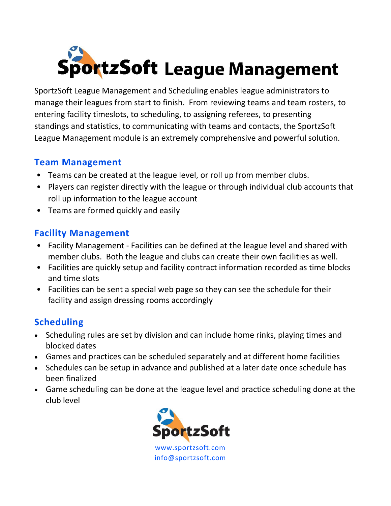

SportzSoft League Management and Scheduling enables league administrators to manage their leagues from start to finish. From reviewing teams and team rosters, to entering facility timeslots, to scheduling, to assigning referees, to presenting standings and statistics, to communicating with teams and contacts, the SportzSoft League Management module is an extremely comprehensive and powerful solution.

### **Team Management**

- Teams can be created at the league level, or roll up from member clubs.
- Players can register directly with the league or through individual club accounts that roll up information to the league account
- Teams are formed quickly and easily

## **Facility Management**

- Facility Management Facilities can be defined at the league level and shared with member clubs. Both the league and clubs can create their own facilities as well.
- Facilities are quickly setup and facility contract information recorded as time blocks and time slots
- Facilities can be sent a special web page so they can see the schedule for their facility and assign dressing rooms accordingly

# **Scheduling**

- Scheduling rules are set by division and can include home rinks, playing times and blocked dates
- Games and practices can be scheduled separately and at different home facilities
- Schedules can be setup in advance and published at a later date once schedule has been finalized
- Game scheduling can be done at the league level and practice scheduling done at the club level